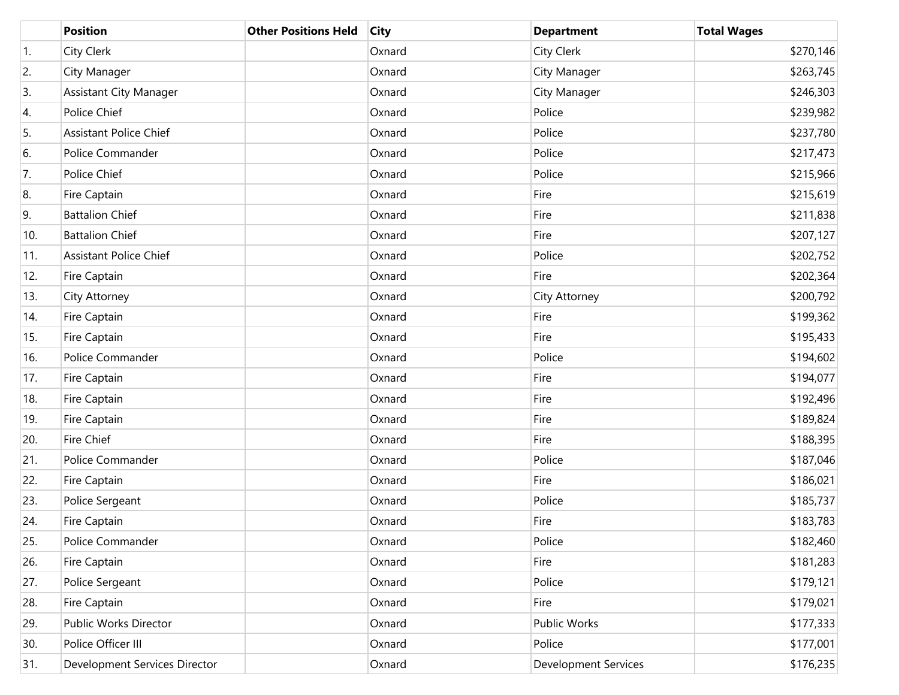|                  | <b>Position</b>               | <b>Other Positions Held</b> | <b>City</b> | <b>Department</b>    | <b>Total Wages</b> |
|------------------|-------------------------------|-----------------------------|-------------|----------------------|--------------------|
| $\overline{1}$ . | City Clerk                    |                             | Oxnard      | City Clerk           | \$270,146          |
| 2.               | City Manager                  |                             | Oxnard      | City Manager         | \$263,745          |
| 3.               | <b>Assistant City Manager</b> |                             | Oxnard      | City Manager         | \$246,303          |
| 4.               | Police Chief                  |                             | Oxnard      | Police               | \$239,982          |
| 5.               | <b>Assistant Police Chief</b> |                             | Oxnard      | Police               | \$237,780          |
| 6.               | Police Commander              |                             | Oxnard      | Police               | \$217,473          |
| 7.               | Police Chief                  |                             | Oxnard      | Police               | \$215,966          |
| 8.               | Fire Captain                  |                             | Oxnard      | Fire                 | \$215,619          |
| 9.               | <b>Battalion Chief</b>        |                             | Oxnard      | Fire                 | \$211,838          |
| 10.              | <b>Battalion Chief</b>        |                             | Oxnard      | Fire                 | \$207,127          |
| 11.              | <b>Assistant Police Chief</b> |                             | Oxnard      | Police               | \$202,752          |
| 12.              | Fire Captain                  |                             | Oxnard      | Fire                 | \$202,364          |
| 13.              | City Attorney                 |                             | Oxnard      | City Attorney        | \$200,792          |
| 14.              | Fire Captain                  |                             | Oxnard      | Fire                 | \$199,362          |
| 15.              | Fire Captain                  |                             | Oxnard      | Fire                 | \$195,433          |
| 16.              | Police Commander              |                             | Oxnard      | Police               | \$194,602          |
| 17.              | Fire Captain                  |                             | Oxnard      | Fire                 | \$194,077          |
| 18.              | Fire Captain                  |                             | Oxnard      | Fire                 | \$192,496          |
| 19.              | Fire Captain                  |                             | Oxnard      | Fire                 | \$189,824          |
| 20.              | Fire Chief                    |                             | Oxnard      | Fire                 | \$188,395          |
| 21.              | Police Commander              |                             | Oxnard      | Police               | \$187,046          |
| 22.              | Fire Captain                  |                             | Oxnard      | Fire                 | \$186,021          |
| 23.              | Police Sergeant               |                             | Oxnard      | Police               | \$185,737          |
| 24.              | Fire Captain                  |                             | Oxnard      | Fire                 | \$183,783          |
| 25.              | Police Commander              |                             | Oxnard      | Police               | \$182,460          |
| 26.              | Fire Captain                  |                             | Oxnard      | Fire                 | \$181,283          |
| 27.              | Police Sergeant               |                             | Oxnard      | Police               | \$179,121          |
| 28.              | Fire Captain                  |                             | Oxnard      | Fire                 | \$179,021          |
| 29.              | Public Works Director         |                             | Oxnard      | Public Works         | \$177,333          |
| 30.              | Police Officer III            |                             | Oxnard      | Police               | \$177,001          |
| 31.              | Development Services Director |                             | Oxnard      | Development Services | \$176,235          |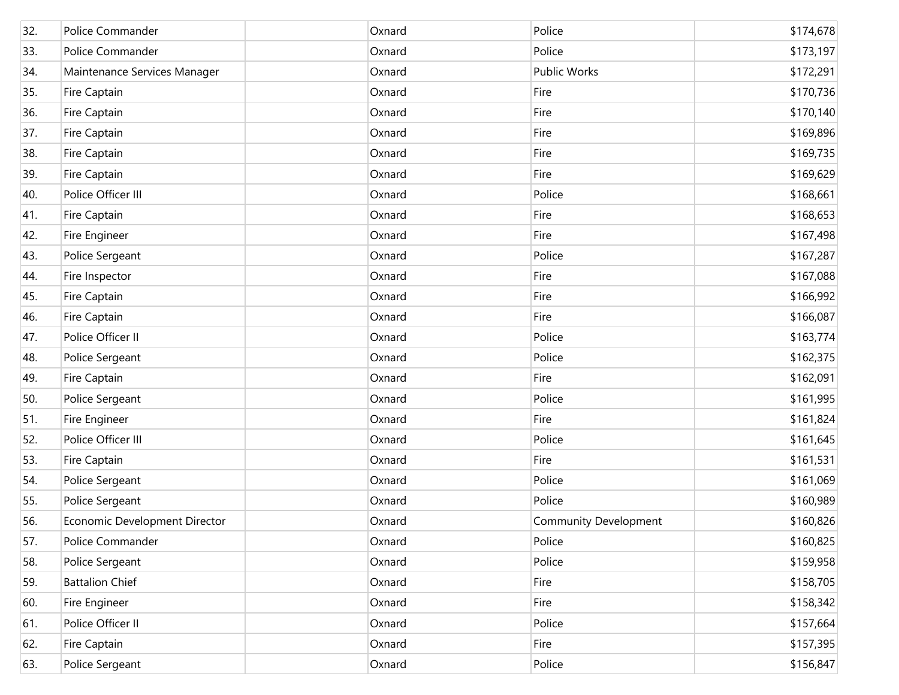| 32. | Police Commander              | Oxnard | Police                       | \$174,678 |
|-----|-------------------------------|--------|------------------------------|-----------|
| 33. | Police Commander              | Oxnard | Police                       | \$173,197 |
| 34. | Maintenance Services Manager  | Oxnard | Public Works                 | \$172,291 |
| 35. | Fire Captain                  | Oxnard | Fire                         | \$170,736 |
| 36. | Fire Captain                  | Oxnard | Fire                         | \$170,140 |
| 37. | Fire Captain                  | Oxnard | Fire                         | \$169,896 |
| 38. | Fire Captain                  | Oxnard | Fire                         | \$169,735 |
| 39. | Fire Captain                  | Oxnard | Fire                         | \$169,629 |
| 40. | Police Officer III            | Oxnard | Police                       | \$168,661 |
| 41. | Fire Captain                  | Oxnard | Fire                         | \$168,653 |
| 42. | Fire Engineer                 | Oxnard | Fire                         | \$167,498 |
| 43. | Police Sergeant               | Oxnard | Police                       | \$167,287 |
| 44. | Fire Inspector                | Oxnard | Fire                         | \$167,088 |
| 45. | Fire Captain                  | Oxnard | Fire                         | \$166,992 |
| 46. | Fire Captain                  | Oxnard | Fire                         | \$166,087 |
| 47. | Police Officer II             | Oxnard | Police                       | \$163,774 |
| 48. | Police Sergeant               | Oxnard | Police                       | \$162,375 |
| 49. | Fire Captain                  | Oxnard | Fire                         | \$162,091 |
| 50. | Police Sergeant               | Oxnard | Police                       | \$161,995 |
| 51. | Fire Engineer                 | Oxnard | Fire                         | \$161,824 |
| 52. | Police Officer III            | Oxnard | Police                       | \$161,645 |
| 53. | Fire Captain                  | Oxnard | Fire                         | \$161,531 |
| 54. | Police Sergeant               | Oxnard | Police                       | \$161,069 |
| 55. | Police Sergeant               | Oxnard | Police                       | \$160,989 |
| 56. | Economic Development Director | Oxnard | <b>Community Development</b> | \$160,826 |
| 57. | Police Commander              | Oxnard | Police                       | \$160,825 |
| 58. | Police Sergeant               | Oxnard | Police                       | \$159,958 |
| 59. | <b>Battalion Chief</b>        | Oxnard | Fire                         | \$158,705 |
| 60. | Fire Engineer                 | Oxnard | Fire                         | \$158,342 |
| 61. | Police Officer II             | Oxnard | Police                       | \$157,664 |
| 62. | Fire Captain                  | Oxnard | Fire                         | \$157,395 |
| 63. | Police Sergeant               | Oxnard | Police                       | \$156,847 |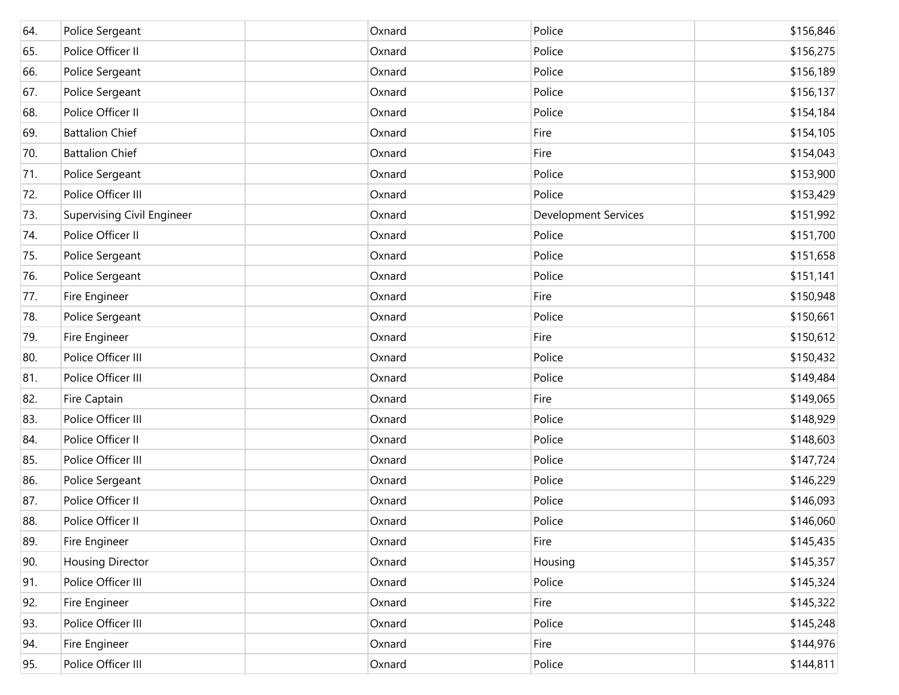| 64. | Police Sergeant            | Oxnard | Police                      | \$156,846 |
|-----|----------------------------|--------|-----------------------------|-----------|
| 65. | Police Officer II          | Oxnard | Police                      | \$156,275 |
| 66. | Police Sergeant            | Oxnard | Police                      | \$156,189 |
| 67. | Police Sergeant            | Oxnard | Police                      | \$156,137 |
| 68. | Police Officer II          | Oxnard | Police                      | \$154,184 |
| 69. | <b>Battalion Chief</b>     | Oxnard | Fire                        | \$154,105 |
| 70. | <b>Battalion Chief</b>     | Oxnard | Fire                        | \$154,043 |
| 71. | Police Sergeant            | Oxnard | Police                      | \$153,900 |
| 72. | Police Officer III         | Oxnard | Police                      | \$153,429 |
| 73. | Supervising Civil Engineer | Oxnard | <b>Development Services</b> | \$151,992 |
| 74. | Police Officer II          | Oxnard | Police                      | \$151,700 |
| 75. | Police Sergeant            | Oxnard | Police                      | \$151,658 |
| 76. | Police Sergeant            | Oxnard | Police                      | \$151,141 |
| 77. | Fire Engineer              | Oxnard | Fire                        | \$150,948 |
| 78. | Police Sergeant            | Oxnard | Police                      | \$150,661 |
| 79. | Fire Engineer              | Oxnard | Fire                        | \$150,612 |
| 80. | Police Officer III         | Oxnard | Police                      | \$150,432 |
| 81. | Police Officer III         | Oxnard | Police                      | \$149,484 |
| 82. | Fire Captain               | Oxnard | Fire                        | \$149,065 |
| 83. | Police Officer III         | Oxnard | Police                      | \$148,929 |
| 84. | Police Officer II          | Oxnard | Police                      | \$148,603 |
| 85. | Police Officer III         | Oxnard | Police                      | \$147,724 |
| 86. | Police Sergeant            | Oxnard | Police                      | \$146,229 |
| 87. | Police Officer II          | Oxnard | Police                      | \$146,093 |
| 88. | Police Officer II          | Oxnard | Police                      | \$146,060 |
| 89. | Fire Engineer              | Oxnard | Fire                        | \$145,435 |
| 90. | <b>Housing Director</b>    | Oxnard | Housing                     | \$145,357 |
| 91. | Police Officer III         | Oxnard | Police                      | \$145,324 |
| 92. | Fire Engineer              | Oxnard | Fire                        | \$145,322 |
| 93. | Police Officer III         | Oxnard | Police                      | \$145,248 |
| 94. | Fire Engineer              | Oxnard | Fire                        | \$144,976 |
| 95. | Police Officer III         | Oxnard | Police                      | \$144,811 |